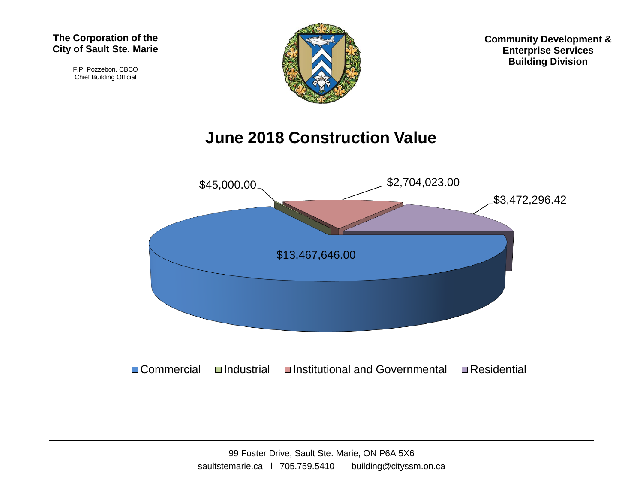F.P. Pozzebon, CBCO Chief Building Official



**Community Development & Enterprise Services Building Division**

## **June 2018 Construction Value**

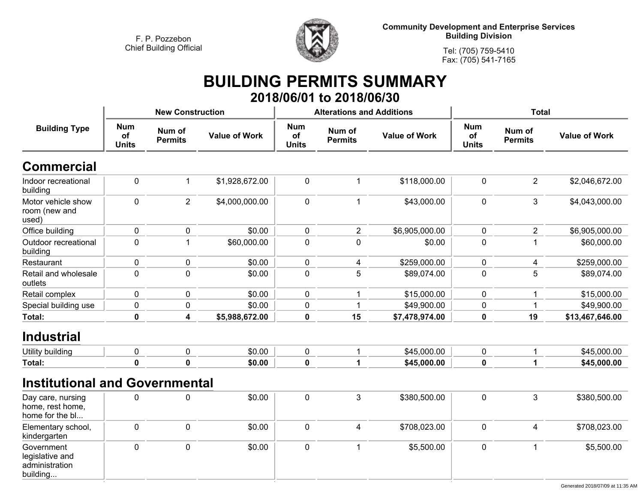

**Community Development and Enterprise Services Building Division**

**Tel: (705) 759-5410Fax: (705) 541-7165**

### **BUILDING PERMITS SUMMARY 2018/06/01 to 2018/06/30**

|                                                             |                                                              | <b>New Construction</b> |                      |                                  | <b>Alterations and Additions</b> |                      | <b>Total</b>                     |                          |                             |
|-------------------------------------------------------------|--------------------------------------------------------------|-------------------------|----------------------|----------------------------------|----------------------------------|----------------------|----------------------------------|--------------------------|-----------------------------|
| <b>Building Type</b>                                        | <b>Num</b><br>Num of<br>of<br><b>Permits</b><br><b>Units</b> |                         | <b>Value of Work</b> | <b>Num</b><br>of<br><b>Units</b> | Num of<br><b>Permits</b>         | <b>Value of Work</b> | <b>Num</b><br>of<br><b>Units</b> | Num of<br><b>Permits</b> | <b>Value of Work</b>        |
| <b>Commercial</b>                                           |                                                              |                         |                      |                                  |                                  |                      |                                  |                          |                             |
| Indoor recreational<br>building                             | $\pmb{0}$                                                    | 1                       | \$1,928,672.00       | $\pmb{0}$                        | $\mathbf 1$                      | \$118,000.00         | $\pmb{0}$                        | $\overline{2}$           | \$2,046,672.00              |
| Motor vehicle show<br>room (new and<br>used)                | 0                                                            | $\overline{2}$          | \$4,000,000.00       | 0                                | $\mathbf{1}$                     | \$43,000.00          | $\mathbf 0$                      | 3                        | \$4,043,000.00              |
| Office building                                             | $\pmb{0}$                                                    | $\pmb{0}$               | \$0.00               | 0                                | $\overline{2}$                   | \$6,905,000.00       | $\mathbf 0$                      | $\overline{2}$           | \$6,905,000.00              |
| Outdoor recreational<br>building                            | 0                                                            | $\mathbf 1$             | \$60,000.00          | $\pmb{0}$                        | $\mathbf 0$                      | \$0.00               | $\pmb{0}$                        | $\overline{\mathbf{1}}$  | \$60,000.00                 |
| Restaurant                                                  | 0                                                            | $\pmb{0}$               | \$0.00               | 0                                | $\overline{4}$                   | \$259,000.00         | $\mathbf 0$                      | 4                        | \$259,000.00                |
| Retail and wholesale<br>outlets                             | 0                                                            | $\mathbf 0$             | \$0.00               | 0                                | 5                                | \$89,074.00          | $\mathbf 0$                      | 5                        | \$89,074.00                 |
| Retail complex                                              | 0                                                            | $\mathbf 0$             | \$0.00               | 0                                | 1                                | \$15,000.00          | $\mathbf 0$                      | 1                        | \$15,000.00                 |
| Special building use                                        | 0                                                            | 0                       | \$0.00               | 0                                | $\mathbf 1$                      | \$49,900.00          | 0                                | -1                       | \$49,900.00                 |
| Total:                                                      | $\mathbf 0$                                                  | 4                       | \$5,988,672.00       | $\mathbf 0$                      | 15                               | \$7,478,974.00       | $\mathbf 0$                      | 19                       | \$13,467,646.00             |
| <b>Industrial</b>                                           |                                                              |                         |                      |                                  |                                  |                      |                                  |                          |                             |
| Utility building                                            | $\mathbf 0$                                                  | $\pmb{0}$               | \$0.00               | 0                                | $\mathbf 1$                      | \$45,000.00          | $\mathbf 0$                      | $\mathbf{1}$             | \$45,000.00                 |
| <b>Total:</b>                                               | $\mathbf 0$                                                  | $\bf{0}$                | \$0.00               | $\mathbf{0}$                     | 1                                | \$45,000.00          | $\mathbf 0$                      | 1                        | \$45,000.00                 |
| <b>Institutional and Governmental</b>                       |                                                              |                         |                      |                                  |                                  |                      |                                  |                          |                             |
| Day care, nursing<br>home, rest home,<br>home for the bl    | 0                                                            | 0                       | \$0.00               | 0                                | $\mathbf{3}$                     | \$380,500.00         | $\pmb{0}$                        | $\mathbf{3}$             | \$380,500.00                |
| Elementary school,<br>kindergarten                          | $\mathbf 0$                                                  | $\mathbf 0$             | \$0.00               | 0                                | $\overline{4}$                   | \$708,023.00         | $\mathbf 0$                      | $\overline{4}$           | \$708,023.00                |
| Government<br>legislative and<br>administration<br>building | $\mathbf 0$                                                  | $\mathbf 0$             | \$0.00               | 0                                | $\mathbf{1}$                     | \$5,500.00           | $\mathbf 0$                      | $\mathbf{1}$             | \$5,500.00                  |
|                                                             |                                                              |                         |                      |                                  |                                  |                      |                                  |                          | Concroted 2019/07/00 of 11: |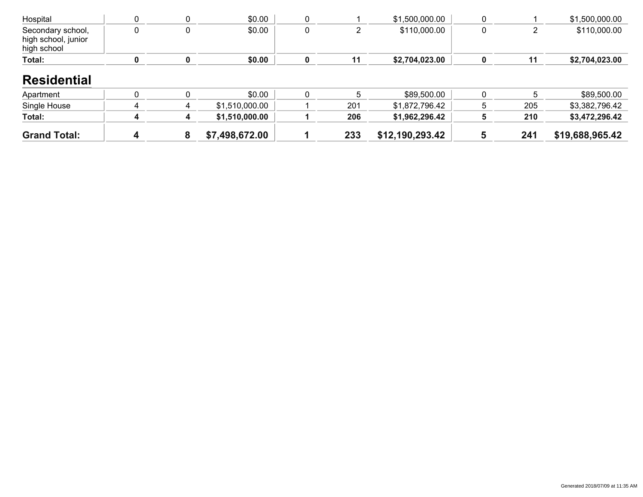| Hospital                                                |  | \$0.00 |  | \$1,500,000.00 |  | \$1,500,000.00 |
|---------------------------------------------------------|--|--------|--|----------------|--|----------------|
| Secondary school,<br>high school, junior<br>high school |  | \$0.00 |  | \$110,000.00   |  | \$110,000.00   |
| Total:                                                  |  | \$0.00 |  | \$2,704,023.00 |  | \$2,704,023.00 |

#### **Residential**

| Apartment           |  | \$0.00         |     | \$89,500.00     |     | \$89,500.00     |
|---------------------|--|----------------|-----|-----------------|-----|-----------------|
| Single House        |  | \$1,510,000.00 | 201 | \$1.872.796.42  | 205 | \$3,382,796.42  |
| Total:              |  | \$1,510,000.00 | 206 | \$1,962,296.42  | 210 | \$3,472,296.42  |
| <b>Grand Total:</b> |  | \$7,498,672.00 | 233 | \$12,190,293.42 | 241 | \$19,688,965.42 |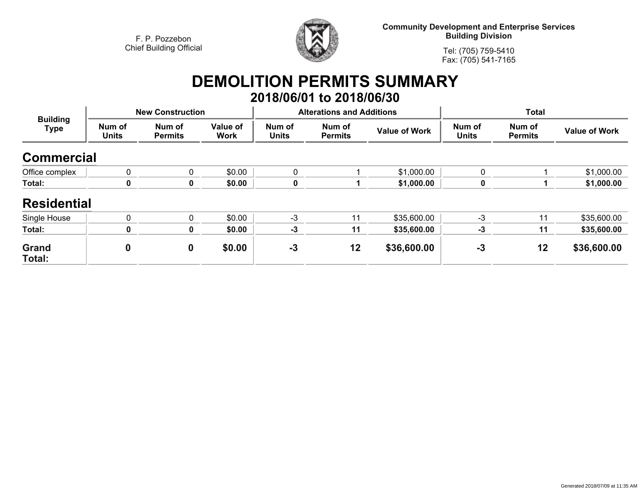

**Community Development and Enterprise Services Building Division**

**Tel: (705) 759-5410Fax: (705) 541-7165**

## **DEMOLITION PERMITS SUMMARY 2018/06/01 to 2018/06/30**

| <b>Building</b><br><b>Type</b> |                        | <b>New Construction</b>  |                         |                        | <b>Alterations and Additions</b> |                      | <b>Total</b>           |                          |                      |
|--------------------------------|------------------------|--------------------------|-------------------------|------------------------|----------------------------------|----------------------|------------------------|--------------------------|----------------------|
|                                | Num of<br><b>Units</b> | Num of<br><b>Permits</b> | Value of<br><b>Work</b> | Num of<br><b>Units</b> | Num of<br><b>Permits</b>         | <b>Value of Work</b> | Num of<br><b>Units</b> | Num of<br><b>Permits</b> | <b>Value of Work</b> |
| <b>Commercial</b>              |                        |                          |                         |                        |                                  |                      |                        |                          |                      |
| Office complex                 | $\mathbf{0}$           | 0                        | \$0.00                  | $\mathbf{0}$           |                                  | \$1,000.00           | $\mathbf{0}$           |                          | \$1,000.00           |
| Total:                         | $\mathbf 0$            | 0                        | \$0.00                  | $\mathbf 0$            |                                  | \$1,000.00           | 0                      |                          | \$1,000.00           |
| <b>Residential</b>             |                        |                          |                         |                        |                                  |                      |                        |                          |                      |
| Single House                   | $\mathbf{0}$           | $\mathbf 0$              | \$0.00                  | $-3$                   | 11                               | \$35,600.00          | $-3$                   | 11                       | \$35,600.00          |
| Total:                         | $\mathbf 0$            | 0                        | \$0.00                  | $-3$                   | 11                               | \$35,600.00          | $-3$                   | 11                       | \$35,600.00          |
| Grand<br>Total:                | 0                      | $\mathbf 0$              | \$0.00                  | $-3$                   | 12                               | \$36,600.00          | $-3$                   | 12                       | \$36,600.00          |